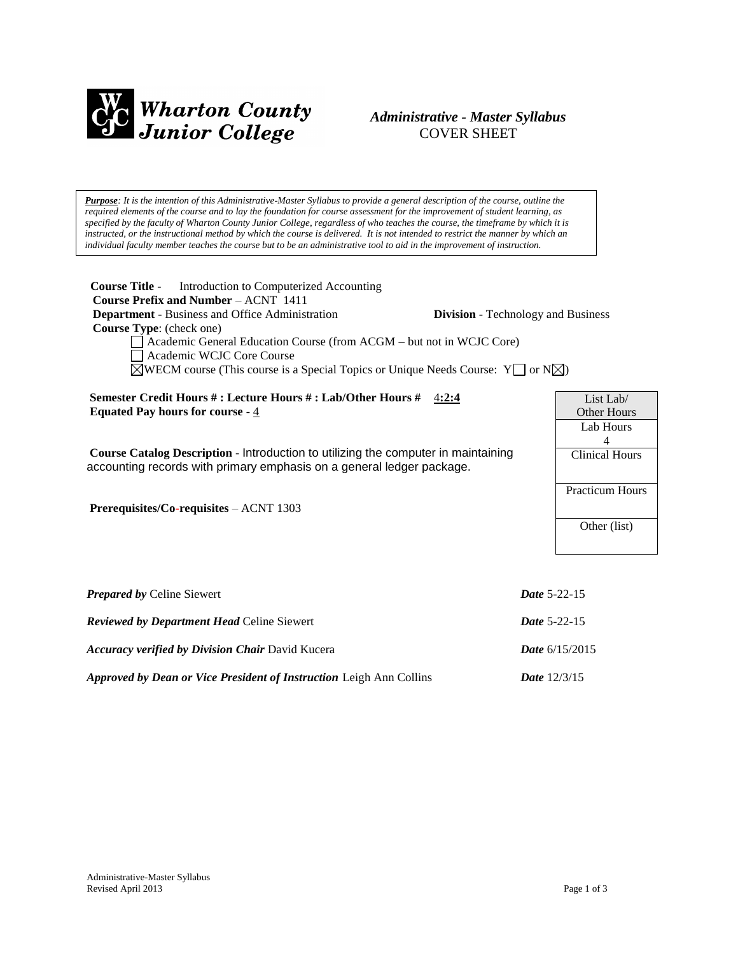

# *Administrative - Master Syllabus*  COVER SHEET

*Purpose: It is the intention of this Administrative-Master Syllabus to provide a general description of the course, outline the required elements of the course and to lay the foundation for course assessment for the improvement of student learning, as specified by the faculty of Wharton County Junior College, regardless of who teaches the course, the timeframe by which it is instructed, or the instructional method by which the course is delivered. It is not intended to restrict the manner by which an individual faculty member teaches the course but to be an administrative tool to aid in the improvement of instruction.*

**Course Title** - Introduction to Computerized Accounting  **Course Prefix and Number** – ACNT 1411 **Department** - Business and Office Administration **Division** - Technology and Business  **Course Type**: (check one) Academic General Education Course (from ACGM – but not in WCJC Core) Academic WCJC Core Course  $\boxtimes$ WECM course (This course is a Special Topics or Unique Needs Course: Y  $\Box$  or N $\boxtimes$ ) **Semester Credit Hours # : Lecture Hours # : Lab/Other Hours #** 4**:2:4 Equated Pay hours for course** - 4 **Course Catalog Description** - Introduction to utilizing the computer in maintaining accounting records with primary emphasis on a general ledger package. **Prerequisites/Co-requisites** – ACNT 1303 *Prepared by Celine Siewert Prepared by Celine Siewert Date* **5-22-15** *Reviewed by Department Head* Celine Siewert *Date* 5-22-15 *Accuracy verified by Division Chair* David Kucera *Date* 6/15/2015 *Approved by Dean or Vice President of Instruction* Leigh Ann Collins *Date* 12/3/15 List Lab/ Other Hours Lab Hours 4 Clinical Hours Practicum Hours Other (list)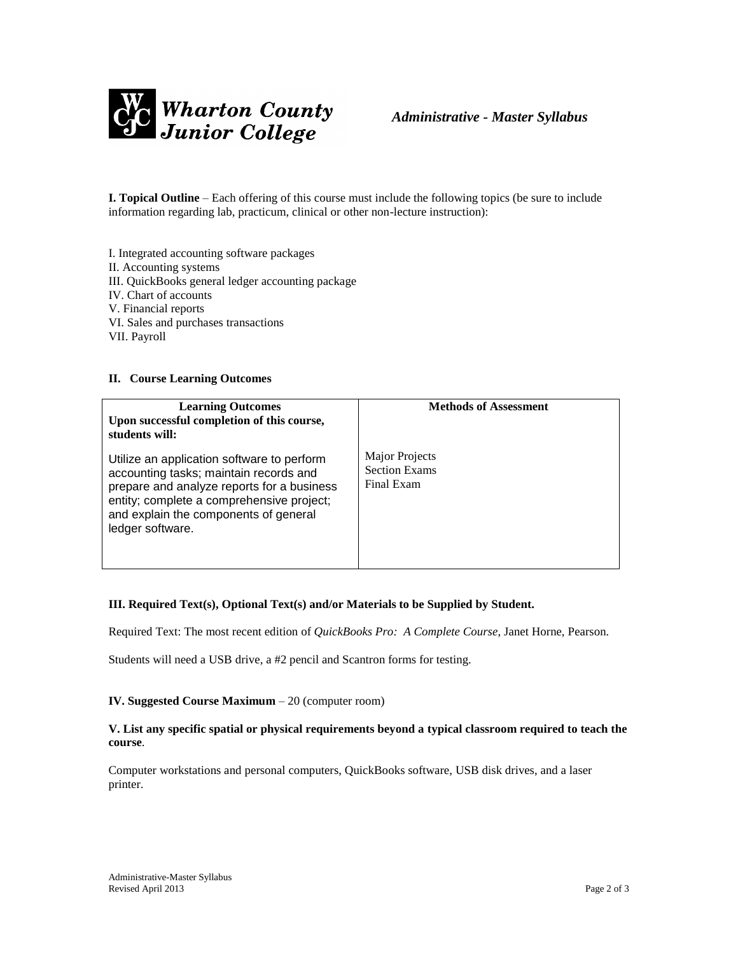

**I. Topical Outline** – Each offering of this course must include the following topics (be sure to include information regarding lab, practicum, clinical or other non-lecture instruction):

I. Integrated accounting software packages II. Accounting systems III. QuickBooks general ledger accounting package IV. Chart of accounts V. Financial reports VI. Sales and purchases transactions VII. Payroll

# **II. Course Learning Outcomes**

| <b>Learning Outcomes</b><br>Upon successful completion of this course,<br>students will:                                                                                                                                                     | <b>Methods of Assessment</b>                         |
|----------------------------------------------------------------------------------------------------------------------------------------------------------------------------------------------------------------------------------------------|------------------------------------------------------|
| Utilize an application software to perform<br>accounting tasks; maintain records and<br>prepare and analyze reports for a business<br>entity; complete a comprehensive project;<br>and explain the components of general<br>ledger software. | Major Projects<br><b>Section Exams</b><br>Final Exam |

#### **III. Required Text(s), Optional Text(s) and/or Materials to be Supplied by Student.**

Required Text: The most recent edition of *QuickBooks Pro: A Complete Course*, Janet Horne, Pearson.

Students will need a USB drive, a #2 pencil and Scantron forms for testing.

#### **IV. Suggested Course Maximum** – 20 (computer room)

# **V. List any specific spatial or physical requirements beyond a typical classroom required to teach the course**.

Computer workstations and personal computers, QuickBooks software, USB disk drives, and a laser printer.